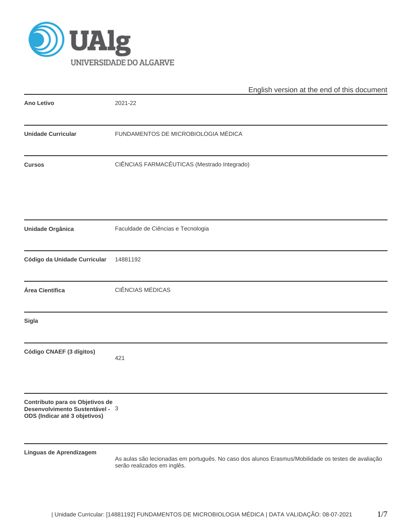

|                                                                                                     | English version at the end of this document                                                                                       |
|-----------------------------------------------------------------------------------------------------|-----------------------------------------------------------------------------------------------------------------------------------|
| <b>Ano Letivo</b>                                                                                   | 2021-22                                                                                                                           |
| <b>Unidade Curricular</b>                                                                           | FUNDAMENTOS DE MICROBIOLOGIA MÉDICA                                                                                               |
| <b>Cursos</b>                                                                                       | CIÊNCIAS FARMACÊUTICAS (Mestrado Integrado)                                                                                       |
| <b>Unidade Orgânica</b>                                                                             | Faculdade de Ciências e Tecnologia                                                                                                |
| Código da Unidade Curricular                                                                        | 14881192                                                                                                                          |
| Área Científica                                                                                     | <b>CIÊNCIAS MÉDICAS</b>                                                                                                           |
| <b>Sigla</b>                                                                                        |                                                                                                                                   |
| Código CNAEF (3 dígitos)                                                                            | 421                                                                                                                               |
| Contributo para os Objetivos de<br>Desenvolvimento Sustentável - 3<br>ODS (Indicar até 3 objetivos) |                                                                                                                                   |
| Línguas de Aprendizagem                                                                             | As aulas são lecionadas em português. No caso dos alunos Erasmus/Mobilidade os testes de avaliação<br>serão realizados em inglês. |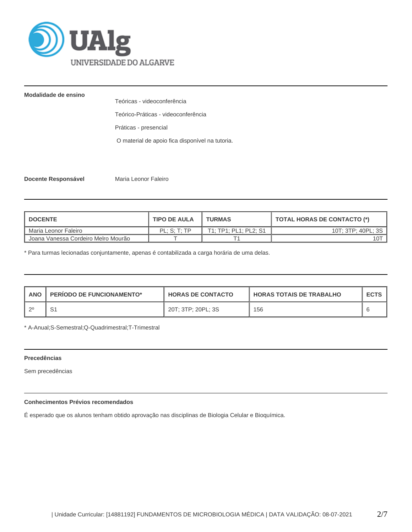

## **Modalidade de ensino**

Teóricas - videoconferência

Teórico-Práticas - videoconferência

Práticas - presencial

O material de apoio fica disponível na tutoria.

**Docente Responsável Maria Leonor Faleiro** 

| <b>DOCENTE</b>                                   | <b>TIPO DE AULA</b> | <b>TURMAS</b>         | <b>TOTAL HORAS DE CONTACTO (*)</b> |
|--------------------------------------------------|---------------------|-----------------------|------------------------------------|
| Maria Leonor Faleiro                             | PL: S: T: TP        | T1; TP1; PL1; PL2; S1 | 10T: 3TP: 40PL: 3S                 |
| <sup>1</sup> Joana Vanessa Cordeiro Melro Mourão |                     |                       | 101                                |

\* Para turmas lecionadas conjuntamente, apenas é contabilizada a carga horária de uma delas.

| <b>ANO</b> | <b>PERIODO DE FUNCIONAMENTO*</b> | <b>HORAS DE CONTACTO</b> | <b>HORAS TOTAIS DE TRABALHO</b> | <b>ECTS</b> |
|------------|----------------------------------|--------------------------|---------------------------------|-------------|
|            | ا ب                              | 20T; 3TP; 20PL; 3S       | 156                             |             |

\* A-Anual;S-Semestral;Q-Quadrimestral;T-Trimestral

### **Precedências**

Sem precedências

# **Conhecimentos Prévios recomendados**

É esperado que os alunos tenham obtido aprovação nas disciplinas de Biologia Celular e Bioquímica.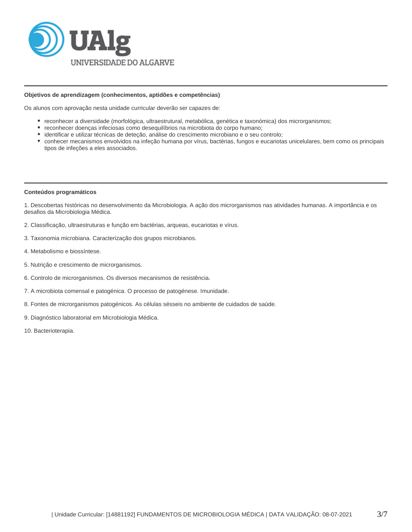

### **Objetivos de aprendizagem (conhecimentos, aptidões e competências)**

Os alunos com aprovação nesta unidade curricular deverão ser capazes de:

- reconhecer a diversidade (morfológica, ultraestrutural, metabólica, genética e taxonómica) dos microrganismos;
- reconhecer doenças infeciosas como desequilíbrios na microbiota do corpo humano;
- identificar e utilizar técnicas de deteção, análise do crescimento microbiano e o seu controlo;
- conhecer mecanismos envolvidos na infeção humana por vírus, bactérias, fungos e eucariotas unicelulares, bem como os principais tipos de infeções a eles associados.

### **Conteúdos programáticos**

1. Descobertas históricas no desenvolvimento da Microbiologia. A ação dos microrganismos nas atividades humanas. A importância e os desafios da Microbiologia Médica.

- 2. Classificação, ultraestruturas e função em bactérias, arqueas, eucariotas e vírus.
- 3. Taxonomia microbiana. Caracterização dos grupos microbianos.
- 4. Metabolismo e biossíntese.
- 5. Nutrição e crescimento de microrganismos.
- 6. Controlo de microrganismos. Os diversos mecanismos de resistência.
- 7. A microbiota comensal e patogénica. O processo de patogénese. Imunidade.
- 8. Fontes de microrganismos patogénicos. As células sésseis no ambiente de cuidados de saúde.
- 9. Diagnóstico laboratorial em Microbiologia Médica.
- 10. Bacterioterapia.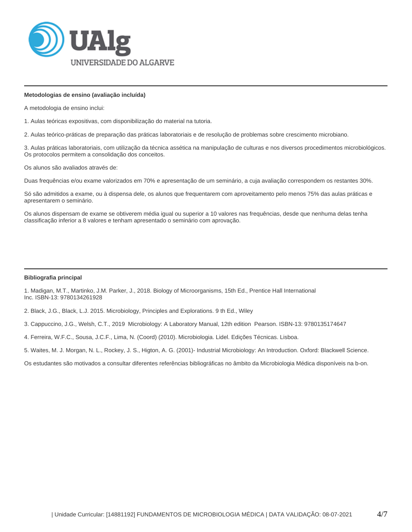

### **Metodologias de ensino (avaliação incluída)**

A metodologia de ensino inclui:

1. Aulas teóricas expositivas, com disponibilização do material na tutoria.

2. Aulas teórico-práticas de preparação das práticas laboratoriais e de resolução de problemas sobre crescimento microbiano.

3. Aulas práticas laboratoriais, com utilização da técnica assética na manipulação de culturas e nos diversos procedimentos microbiológicos. Os protocolos permitem a consolidação dos conceitos.

Os alunos são avaliados através de:

Duas frequências e/ou exame valorizados em 70% e apresentação de um seminário, a cuja avaliação correspondem os restantes 30%.

Só são admitidos a exame, ou à dispensa dele, os alunos que frequentarem com aproveitamento pelo menos 75% das aulas práticas e apresentarem o seminário.

Os alunos dispensam de exame se obtiverem média igual ou superior a 10 valores nas frequências, desde que nenhuma delas tenha classificação inferior a 8 valores e tenham apresentado o seminário com aprovação.

### **Bibliografia principal**

1. Madigan, M.T., Martinko, J.M. Parker, J., 2018. Biology of Microorganisms, 15th Ed., Prentice Hall International Inc. ISBN-13: 9780134261928

2. Black, J.G., Black, L.J. 2015. Microbiology, Principles and Explorations. 9 th Ed., Wiley

3. Cappuccino, J.G., Welsh, C.T., 2019 Microbiology: A Laboratory Manual, 12th edition Pearson. ISBN-13: 9780135174647

4. Ferreira, W.F.C., Sousa, J.C.F., Lima, N. (Coord) (2010). Microbiologia. Lidel. Edições Técnicas. Lisboa.

5. Waites, M. J. Morgan, N. L., Rockey, J. S., Higton, A. G. (2001)- Industrial Microbiology: An Introduction. Oxford: Blackwell Science.

Os estudantes são motivados a consultar diferentes referências bibliográficas no âmbito da Microbiologia Médica disponíveis na b-on.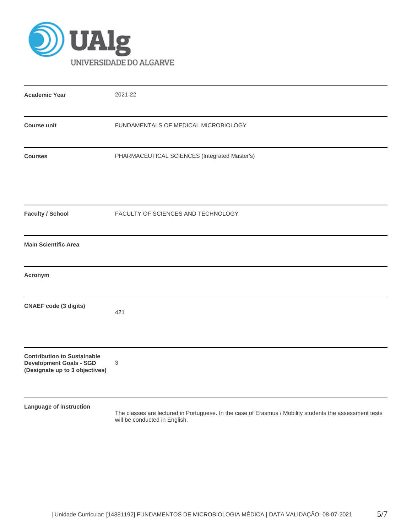

| <b>Academic Year</b>                                                                                   | 2021-22                                                                                                                                  |
|--------------------------------------------------------------------------------------------------------|------------------------------------------------------------------------------------------------------------------------------------------|
| <b>Course unit</b>                                                                                     | FUNDAMENTALS OF MEDICAL MICROBIOLOGY                                                                                                     |
| <b>Courses</b>                                                                                         | PHARMACEUTICAL SCIENCES (Integrated Master's)                                                                                            |
| <b>Faculty / School</b>                                                                                | FACULTY OF SCIENCES AND TECHNOLOGY                                                                                                       |
| <b>Main Scientific Area</b>                                                                            |                                                                                                                                          |
| Acronym                                                                                                |                                                                                                                                          |
| <b>CNAEF code (3 digits)</b>                                                                           | 421                                                                                                                                      |
| <b>Contribution to Sustainable</b><br><b>Development Goals - SGD</b><br>(Designate up to 3 objectives) | 3                                                                                                                                        |
| Language of instruction                                                                                | The classes are lectured in Portuguese. In the case of Erasmus / Mobility students the assessment tests<br>will be conducted in English. |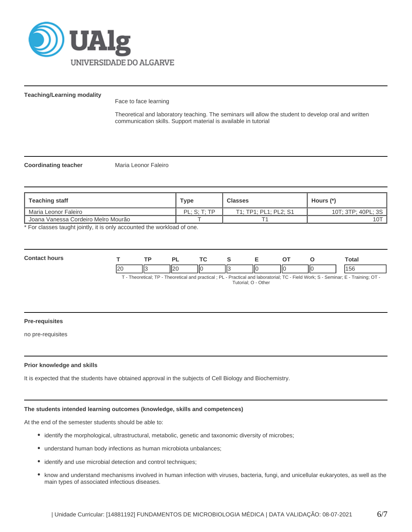

### **Teaching/Learning modality**

Face to face learning

Theoretical and laboratory teaching. The seminars will allow the student to develop oral and written communication skills. Support material is available in tutorial

**Coordinating teacher** Maria Leonor Faleiro

| Teaching staff                      | Type         | <b>Classes</b>        | Hours (*)          |
|-------------------------------------|--------------|-----------------------|--------------------|
| Maria Leonor Faleiro                | PL: S: T: TP | T1; TP1; PL1; PL2; S1 | 10T; 3TP; 40PL; 3S |
| Joana Vanessa Cordeiro Melro Mourão |              |                       | 10 <sub>T</sub>    |

\* For classes taught jointly, it is only accounted the workload of one.

| Cont<br>hours |               | <b>TD</b> | DI             | <b>Trea</b> |    |   | --  |    | otal |
|---------------|---------------|-----------|----------------|-------------|----|---|-----|----|------|
|               | $\mathcal{D}$ | 113       | $\overline{ }$ | Ш           | Ш3 | Ш | IІC | '' | ວເ   |

T - Theoretical; TP - Theoretical and practical ; PL - Practical and laboratorial; TC - Field Work; S - Seminar; E - Training; OT - Tutorial; O - Other

### **Pre-requisites**

no pre-requisites

### **Prior knowledge and skills**

It is expected that the students have obtained approval in the subjects of Cell Biology and Biochemistry.

### **The students intended learning outcomes (knowledge, skills and competences)**

At the end of the semester students should be able to:

- identify the morphological, ultrastructural, metabolic, genetic and taxonomic diversity of microbes;
- understand human body infections as human microbiota unbalances;
- $\bullet$  identify and use microbial detection and control techniques;
- know and understand mechanisms involved in human infection with viruses, bacteria, fungi, and unicellular eukaryotes, as well as the main types of associated infectious diseases.